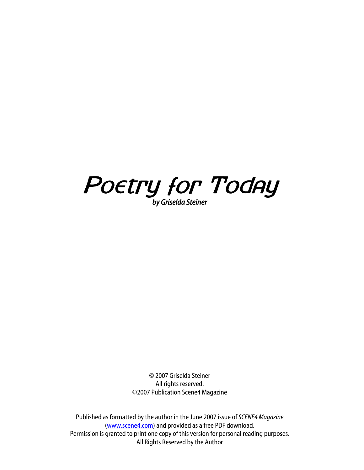

© 2007 Griselda Steiner All rights reserved. ©2007 Publication Scene4 Magazine

Published as formatted by the author in the June 2007 issue of *SCENE4 Magazine* (www.scene4.com) and provided as a free PDF download. Permission is granted to print one copy of this version for personal reading purposes. All Rights Reserved by the Author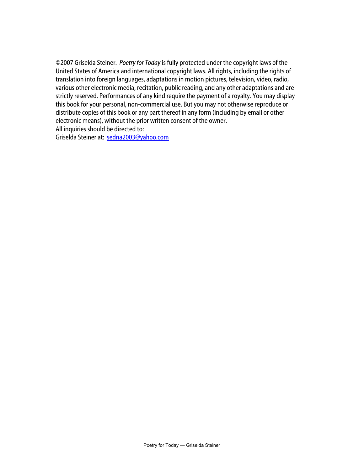©2007 Griselda Steiner. *Poetry for Today* is fully protected under the copyright laws of the United States of America and international copyright laws. All rights, including the rights of translation into foreign languages, adaptations in motion pictures, television, video, radio, various other electronic media, recitation, public reading, and any other adaptations and are strictly reserved. Performances of any kind require the payment of a royalty. You may display this book for your personal, non-commercial use. But you may not otherwise reproduce or distribute copies of this book or any part thereof in any form (including by email or other electronic means), without the prior written consent of the owner. All inquiries should be directed to:

Griselda Steiner at: [sedna2003@yahoo.com](mailto:sedna2003@yahoo.com)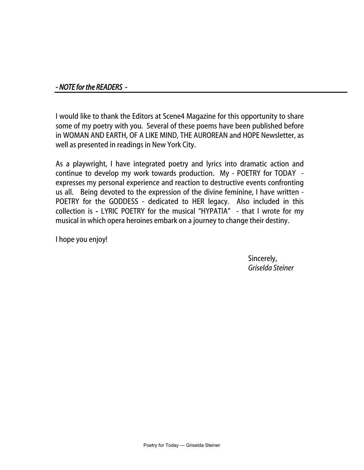# *- NOTE for the READERS -*

I would like to thank the Editors at Scene4 Magazine for this opportunity to share some of my poetry with you. Several of these poems have been published before in WOMAN AND EARTH, OF A LIKE MIND, THE AUROREAN and HOPE Newsletter, as well as presented in readings in New York City.

As a playwright, I have integrated poetry and lyrics into dramatic action and continue to develop my work towards production. My - POETRY for TODAY expresses my personal experience and reaction to destructive events confronting us all. Being devoted to the expression of the divine feminine, I have written - POETRY for the GODDESS - dedicated to HER legacy. Also included in this collection is - LYRIC POETRY for the musical "HYPATIA" - that I wrote for my musical in which opera heroines embark on a journey to change their destiny.

I hope you enjoy!

 Sincerely, *Griselda Steiner*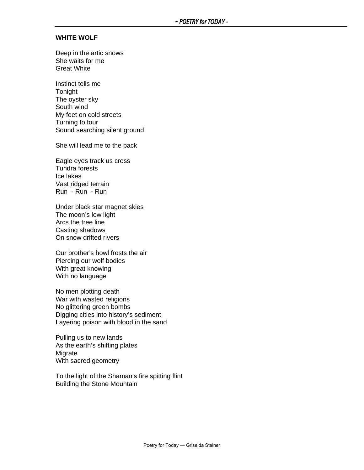#### **WHITE WOLF**

Deep in the artic snows She waits for me Great White

Instinct tells me **Tonight** The oyster sky South wind My feet on cold streets Turning to four Sound searching silent ground

She will lead me to the pack

Eagle eyes track us cross Tundra forests Ice lakes Vast ridged terrain Run - Run - Run

Under black star magnet skies The moon's low light Arcs the tree line Casting shadows On snow drifted rivers

Our brother's howl frosts the air Piercing our wolf bodies With great knowing With no language

No men plotting death War with wasted religions No glittering green bombs Digging cities into history's sediment Layering poison with blood in the sand

Pulling us to new lands As the earth's shifting plates **Migrate** With sacred geometry

To the light of the Shaman's fire spitting flint Building the Stone Mountain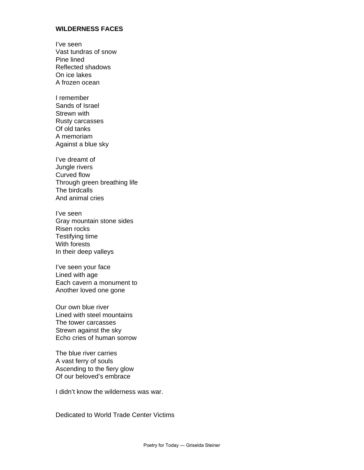### **WILDERNESS FACES**

I've seen Vast tundras of snow Pine lined Reflected shadows On ice lakes A frozen ocean

I remember Sands of Israel Strewn with Rusty carcasses Of old tanks A memoriam Against a blue sky

I've dreamt of Jungle rivers Curved flow Through green breathing life The birdcalls And animal cries

I've seen Gray mountain stone sides Risen rocks Testifying time With forests In their deep valleys

I've seen your face Lined with age Each cavern a monument to Another loved one gone

Our own blue river Lined with steel mountains The tower carcasses Strewn against the sky Echo cries of human sorrow

The blue river carries A vast ferry of souls Ascending to the fiery glow Of our beloved's embrace

I didn't know the wilderness was war.

Dedicated to World Trade Center Victims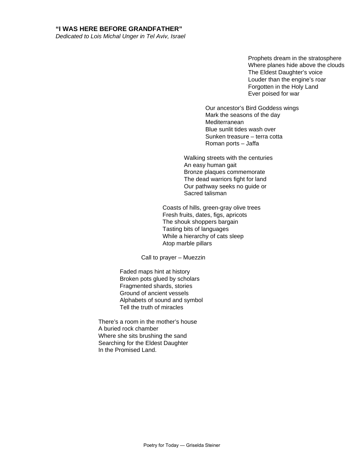#### **"I WAS HERE BEFORE GRANDFATHER"**

*Dedicated to Lois Michal Unger in Tel Aviv, Israel* 

Prophets dream in the stratosphere Where planes hide above the clouds The Eldest Daughter's voice Louder than the engine's roar Forgotten in the Holy Land Ever poised for war

Our ancestor's Bird Goddess wings Mark the seasons of the day Mediterranean Blue sunlit tides wash over Sunken treasure – terra cotta Roman ports – Jaffa

Walking streets with the centuries An easy human gait Bronze plaques commemorate The dead warriors fight for land Our pathway seeks no guide or Sacred talisman

Coasts of hills, green-gray olive trees Fresh fruits, dates, figs, apricots The shouk shoppers bargain Tasting bits of languages While a hierarchy of cats sleep Atop marble pillars

Call to prayer – Muezzin

Faded maps hint at history Broken pots glued by scholars Fragmented shards, stories Ground of ancient vessels Alphabets of sound and symbol Tell the truth of miracles

There's a room in the mother's house A buried rock chamber Where she sits brushing the sand Searching for the Eldest Daughter In the Promised Land.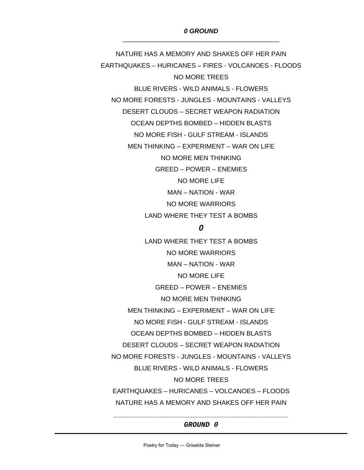NATURE HAS A MEMORY AND SHAKES OFF HER PAIN EARTHQUAKES – HURICANES – FIRES - VOLCANOES - FLOODS NO MORE TREES BLUE RIVERS - WILD ANIMALS - FLOWERS NO MORE FORESTS - JUNGLES - MOUNTAINS - VALLEYS DESERT CLOUDS – SECRET WEAPON RADIATION OCEAN DEPTHS BOMBED – HIDDEN BLASTS NO MORE FISH - GULF STREAM - ISLANDS MEN THINKING – EXPERIMENT – WAR ON LIFE NO MORE MEN THINKING GREED – POWER – ENEMIES NO MORE LIFE MAN – NATION - WAR NO MORE WARRIORS LAND WHERE THEY TEST A BOMBS *0*  LAND WHERE THEY TEST A BOMBS NO MORE WARRIORS MAN – NATION - WAR NO MORE LIFE GREED – POWER – ENEMIES NO MORE MEN THINKING MEN THINKING – EXPERIMENT – WAR ON LIFE NO MORE FISH - GULF STREAM - ISLANDS OCEAN DEPTHS BOMBED – HIDDEN BLASTS DESERT CLOUDS – SECRET WEAPON RADIATION

NO MORE FORESTS - JUNGLES - MOUNTAINS - VALLEYS

BLUE RIVERS - WILD ANIMALS - FLOWERS

NO MORE TREES

EARTHQUAKES – HURICANES – VOLCANOES – FLOODS NATURE HAS A MEMORY AND SHAKES OFF HER PAIN

*\_\_\_\_\_\_\_\_\_\_\_\_\_\_\_\_\_\_\_\_\_\_\_\_\_\_\_\_\_\_\_\_\_\_\_\_\_\_\_\_\_\_\_\_\_\_\_\_ GROUND 0*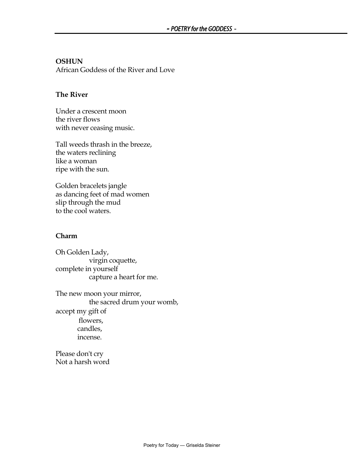# **OSHUN**

African Goddess of the River and Love

# **The River**

Under a crescent moon the river flows with never ceasing music.

Tall weeds thrash in the breeze, the waters reclining like a woman ripe with the sun.

Golden bracelets jangle as dancing feet of mad women slip through the mud to the cool waters.

# **Charm**

Oh Golden Lady, virgin coquette, complete in yourself capture a heart for me.

The new moon your mirror, the sacred drum your womb, accept my gift of flowers, candles, incense.

Please don't cry Not a harsh word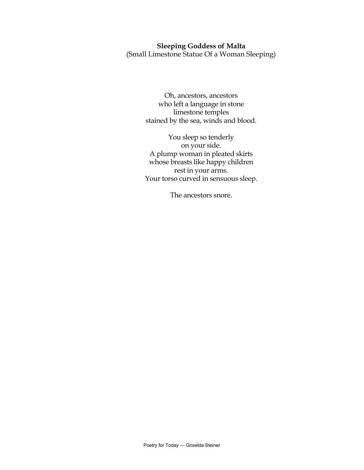# **Sleeping Goddess of Malta**

(Small Limestone Statue Of a Woman Sleeping)

Oh, ancestors, ancestors who left a language in stone limestone temples stained by the sea, winds and blood.

You sleep so tenderly on your side. A plump woman in pleated skirts whose breasts like happy children rest in your arms. Your torso curved in sensuous sleep.

The ancestors snore.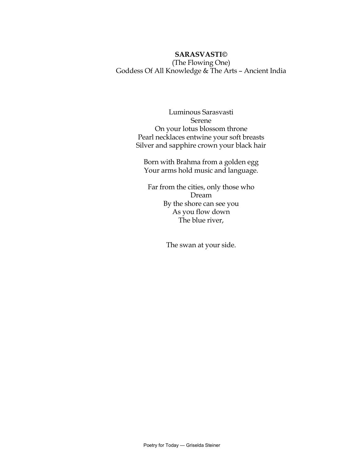# **SARASVASTI©**  (The Flowing One) Goddess Of All Knowledge & The Arts – Ancient India

Luminous Sarasvasti Serene On your lotus blossom throne Pearl necklaces entwine your soft breasts Silver and sapphire crown your black hair

Born with Brahma from a golden egg Your arms hold music and language.

Far from the cities, only those who Dream By the shore can see you As you flow down The blue river,

The swan at your side.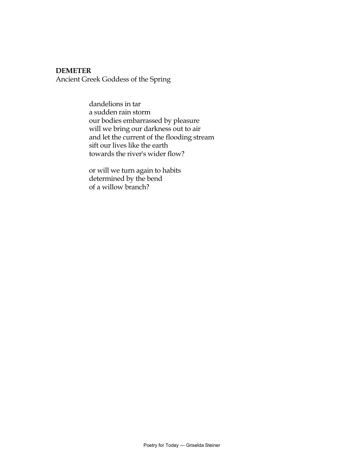### **DEMETER**

Ancient Greek Goddess of the Spring

 dandelions in tar a sudden rain storm our bodies embarrassed by pleasure will we bring our darkness out to air and let the current of the flooding stream sift our lives like the earth towards the river's wider flow?

 or will we turn again to habits determined by the bend of a willow branch?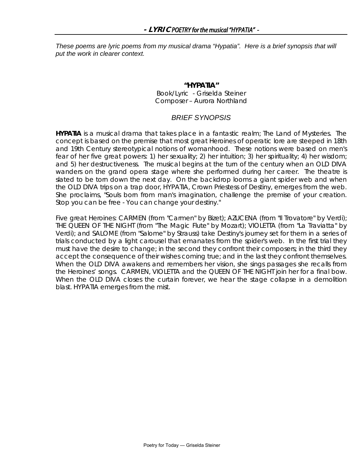*These poems are lyric poems from my musical drama "Hypatia". Here is a brief synopsis that will put the work in clearer context.* 

## **"HYPATIA"**

*Book/Lyric - Griselda Steiner*  Composer – Aurora Northland

## *BRIEF SYNOPSIS*

**HYPATIA** is a musical drama that takes place in a fantastic realm; The Land of Mysteries. The concept is based on the premise that most great Heroines of operatic lore are steeped in 18th and 19th Century stereotypical notions of womanhood. These notions were based on men's fear of her five great powers: 1) her sexuality; 2) her intuition; 3) her spirituality; 4) her wisdom; and 5) her destructiveness. The musical begins at the turn of the century when an OLD DIVA wanders on the grand opera stage where she performed during her career. The theatre is slated to be torn down the next day. On the backdrop looms a giant spider web and when the OLD DIVA trips on a trap door, HYPATIA, Crown Priestess of Destiny, emerges from the web. She proclaims, *"Souls born from man's imagination, challenge the premise of your creation. Stop you can be free - You can change your destiny."* 

Five great Heroines: CARMEN (from "Carmen" by Bizet); AZUCENA (from "Il Trovatore" by Verdi); THE QUEEN OF THE NIGHT (from "The Magic Flute" by Mozart); VIOLETTA (from "La Traviatta" by Verdi); and SALOME (from "Salome" by Strauss) take Destiny's journey set for them in a series of trials conducted by a light carousel that emanates from the spider's web. In the first trial they must have the desire to change; in the second they confront their composers; in the third they accept the consequence of their wishes coming true; and in the last they confront themselves. When the OLD DIVA awakens and remembers her vision, she sings passages she recalls from the Heroines' songs. CARMEN, VIOLETTA and the QUEEN OF THE NIGHT join her for a final bow. When the OLD DIVA closes the curtain forever, we hear the stage collapse in a demolition blast. HYPATIA emerges from the mist.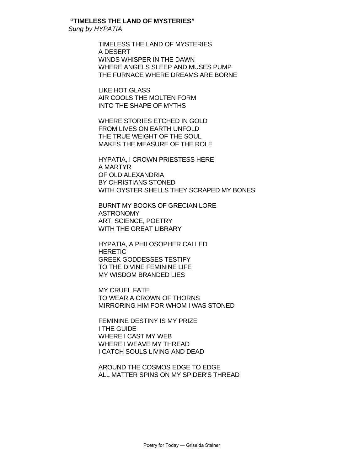## **"TIMELESS THE LAND OF MYSTERIES"**

*Sung by HYPATIA* 

 TIMELESS THE LAND OF MYSTERIES A DESERT WINDS WHISPER IN THE DAWN WHERE ANGELS SLEEP AND MUSES PUMP THE FURNACE WHERE DREAMS ARE BORNE

 LIKE HOT GLASS AIR COOLS THE MOLTEN FORM INTO THE SHAPE OF MYTHS

 WHERE STORIES ETCHED IN GOLD FROM LIVES ON EARTH UNFOLD THE TRUE WEIGHT OF THE SOUL MAKES THE MEASURE OF THE ROLE

 HYPATIA, I CROWN PRIESTESS HERE A MARTYR OF OLD ALEXANDRIA BY CHRISTIANS STONED WITH OYSTER SHELLS THEY SCRAPED MY BONES

 BURNT MY BOOKS OF GRECIAN LORE ASTRONOMY ART, SCIENCE, POETRY WITH THE GREAT LIBRARY

 HYPATIA, A PHILOSOPHER CALLED **HERETIC**  GREEK GODDESSES TESTIFY TO THE DIVINE FEMININE LIFE MY WISDOM BRANDED LIES

 MY CRUEL FATE TO WEAR A CROWN OF THORNS MIRRORING HIM FOR WHOM I WAS STONED

 FEMININE DESTINY IS MY PRIZE I THE GUIDE WHERE I CAST MY WEB WHERE I WEAVE MY THREAD I CATCH SOULS LIVING AND DEAD

 AROUND THE COSMOS EDGE TO EDGE ALL MATTER SPINS ON MY SPIDER'S THREAD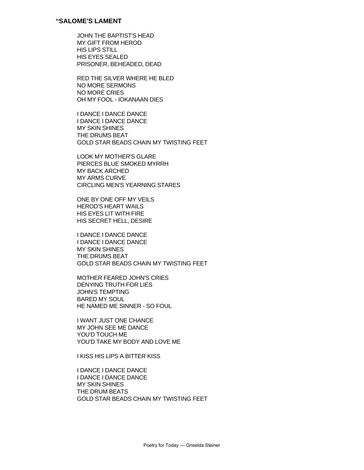JOHN THE BAPTIST'S HEAD MY GIFT FROM HEROD HIS LIPS STILL HIS EYES SEALED PRISONER, BEHEADED, DEAD

RED THE SILVER WHERE HE BLED NO MORE SERMONS NO MORE CRIES OH MY FOOL - IOKANAAN DIES

I DANCE I DANCE DANCE I DANCE I DANCE DANCE MY SKIN SHINES THE DRUMS BEAT GOLD STAR BEADS CHAIN MY TWISTING FEET

LOOK MY MOTHER'S GLARE PIERCES BLUE SMOKED MYRRH MY BACK ARCHED MY ARMS CURVE CIRCLING MEN'S YEARNING STARES

ONE BY ONE OFF MY VEILS HEROD'S HEART WAILS HIS EYES LIT WITH FIRE HIS SECRET HELL, DESIRE

I DANCE I DANCE DANCE I DANCE I DANCE DANCE MY SKIN SHINES THE DRUMS BEAT GOLD STAR BEADS CHAIN MY TWISTING FEET

MOTHER FEARED JOHN'S CRIES DENYING TRUTH FOR LIES JOHN'S TEMPTING BARED MY SOUL HE NAMED ME SINNER - SO FOUL

I WANT JUST ONE CHANCE MY JOHN SEE ME DANCE YOU'D TOUCH ME YOU'D TAKE MY BODY AND LOVE ME

I KISS HIS LIPS A BITTER KISS

I DANCE I DANCE DANCE I DANCE I DANCE DANCE MY SKIN SHINES THE DRUM BEATS GOLD STAR BEADS CHAIN MY TWISTING FEET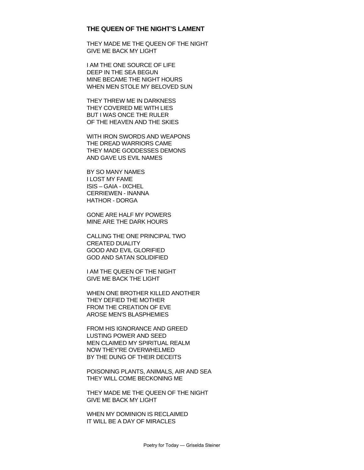#### **THE QUEEN OF THE NIGHT'S LAMENT**

THEY MADE ME THE QUEEN OF THE NIGHT GIVE ME BACK MY LIGHT

 I AM THE ONE SOURCE OF LIFE DEEP IN THE SEA BEGUN MINE BECAME THE NIGHT HOURS WHEN MEN STOLE MY BELOVED SUN

 THEY THREW ME IN DARKNESS THEY COVERED ME WITH LIES BUT I WAS ONCE THE RULER OF THE HEAVEN AND THE SKIES

 WITH IRON SWORDS AND WEAPONS THE DREAD WARRIORS CAME THEY MADE GODDESSES DEMONS AND GAVE US EVIL NAMES

 BY SO MANY NAMES I LOST MY FAME ISIS – GAIA - IXCHEL CERRIEWEN - INANNA HATHOR - DORGA

 GONE ARE HALF MY POWERS MINE ARE THE DARK HOURS

 CALLING THE ONE PRINCIPAL TWO CREATED DUALITY GOOD AND EVIL GLORIFIED GOD AND SATAN SOLIDIFIED

 I AM THE QUEEN OF THE NIGHT GIVE ME BACK THE LIGHT

 WHEN ONE BROTHER KILLED ANOTHER THEY DEFIED THE MOTHER FROM THE CREATION OF EVE AROSE MEN'S BLASPHEMIES

 FROM HIS IGNORANCE AND GREED LUSTING POWER AND SEED MEN CLAIMED MY SPIRITUAL REALM NOW THEY'RE OVERWHELMED BY THE DUNG OF THEIR DECEITS

 POISONING PLANTS, ANIMALS, AIR AND SEA THEY WILL COME BECKONING ME

 THEY MADE ME THE QUEEN OF THE NIGHT GIVE ME BACK MY LIGHT

 WHEN MY DOMINION IS RECLAIMED IT WILL BE A DAY OF MIRACLES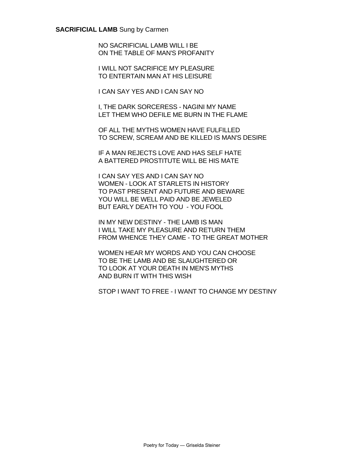### **SACRIFICIAL LAMB** Sung by Carmen

 NO SACRIFICIAL LAMB WILL I BE ON THE TABLE OF MAN'S PROFANITY

 I WILL NOT SACRIFICE MY PLEASURE TO ENTERTAIN MAN AT HIS LEISURE

I CAN SAY YES AND I CAN SAY NO

 I, THE DARK SORCERESS - NAGINI MY NAME LET THEM WHO DEFILE ME BURN IN THE FLAME

 OF ALL THE MYTHS WOMEN HAVE FULFILLED TO SCREW, SCREAM AND BE KILLED IS MAN'S DESIRE

 IF A MAN REJECTS LOVE AND HAS SELF HATE A BATTERED PROSTITUTE WILL BE HIS MATE

 I CAN SAY YES AND I CAN SAY NO WOMEN - LOOK AT STARLETS IN HISTORY TO PAST PRESENT AND FUTURE AND BEWARE YOU WILL BE WELL PAID AND BE JEWELED BUT EARLY DEATH TO YOU - YOU FOOL

 IN MY NEW DESTINY - THE LAMB IS MAN I WILL TAKE MY PLEASURE AND RETURN THEM FROM WHENCE THEY CAME - TO THE GREAT MOTHER

 WOMEN HEAR MY WORDS AND YOU CAN CHOOSE TO BE THE LAMB AND BE SLAUGHTERED OR TO LOOK AT YOUR DEATH IN MEN'S MYTHS AND BURN IT WITH THIS WISH

STOP I WANT TO FREE - I WANT TO CHANGE MY DESTINY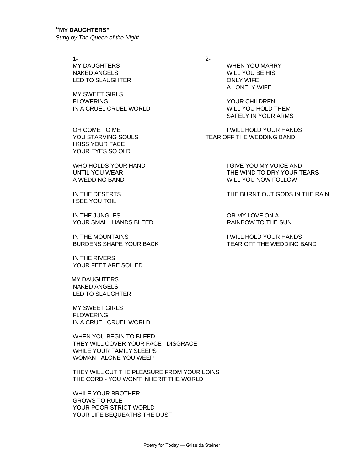## **"MY DAUGHTERS"**

*Sung by The Queen of the Night* 

 $1-$  2- NAKED ANGELS WILL YOU BE HIS LED TO SLAUGHTER ONLY WIFE

 MY SWEET GIRLS FLOWERING YOUR CHILDREN IN A CRUEL CRUEL WORLD WILL YOU HOLD THEM

 I KISS YOUR FACE YOUR EYES SO OLD

WHO HOLDS YOUR HAND I GIVE YOU MY VOICE AND

I SEE YOU TOIL

IN THE JUNGLES OR MY LOVE ON A YOUR SMALL HANDS BLEED THE SUNDAY RAINBOW TO THE SUN

IN THE MOUNTAINS IN THE MOUNTAINS

 IN THE RIVERS YOUR FEET ARE SOILED

 MY DAUGHTERS NAKED ANGELS LED TO SLAUGHTER

 MY SWEET GIRLS **FLOWERING** IN A CRUEL CRUEL WORLD

 WHEN YOU BEGIN TO BLEED THEY WILL COVER YOUR FACE - DISGRACE WHILE YOUR FAMILY SLEEPS WOMAN - ALONE YOU WEEP

 THEY WILL CUT THE PLEASURE FROM YOUR LOINS THE CORD - YOU WON'T INHERIT THE WORLD

 WHILE YOUR BROTHER GROWS TO RULE YOUR POOR STRICT WORLD YOUR LIFE BEQUEATHS THE DUST

 MY DAUGHTERS WHEN YOU MARRY A LONELY WIFE

SAFELY IN YOUR ARMS

OH COME TO ME IN THE INTERNATION TO ME I WILL HOLD YOUR HANDS YOU STARVING SOULS TEAR OFF THE WEDDING BAND

UNTIL YOU WEAR THE WIND TO DRY YOUR TEARS A WEDDING BAND WILL YOU NOW FOLLOW

IN THE DESERTS THE BURNT OUT GODS IN THE RAIN

BURDENS SHAPE YOUR BACK TEAR OFF THE WEDDING BAND